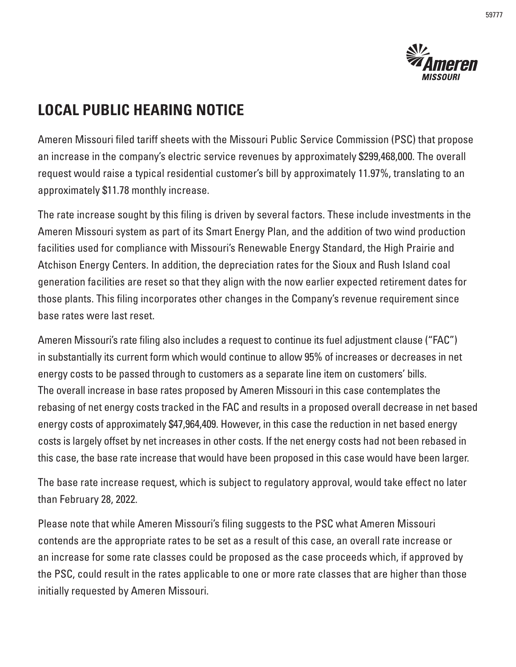

## **LOCAL PUBLIC HEARING NOTICE**

Ameren Missouri filed tariff sheets with the Missouri Public Service Commission (PSC) that propose an increase in the company's electric service revenues by approximately \$299,468,000. The overall request would raise a typical residential customer's bill by approximately 11.97%, translating to an approximately \$11.78 monthly increase.

The rate increase sought by this filing is driven by several factors. These include investments in the Ameren Missouri system as part of its Smart Energy Plan, and the addition of two wind production facilities used for compliance with Missouri's Renewable Energy Standard, the High Prairie and Atchison Energy Centers. In addition, the depreciation rates for the Sioux and Rush Island coal generation facilities are reset so that they align with the now earlier expected retirement dates for those plants. This filing incorporates other changes in the Company's revenue requirement since base rates were last reset.

Ameren Missouri's rate filing also includes a request to continue its fuel adjustment clause ("FAC") in substantially its current form which would continue to allow 95% of increases or decreases in net energy costs to be passed through to customers as a separate line item on customers' bills. The overall increase in base rates proposed by Ameren Missouri in this case contemplates the rebasing of net energy costs tracked in the FAC and results in a proposed overall decrease in net based energy costs of approximately \$47,964,409. However, in this case the reduction in net based energy costs is largely offset by net increases in other costs. If the net energy costs had not been rebased in this case, the base rate increase that would have been proposed in this case would have been larger.

The base rate increase request, which is subject to regulatory approval, would take effect no later than February 28, 2022.

Please note that while Ameren Missouri's filing suggests to the PSC what Ameren Missouri contends are the appropriate rates to be set as a result of this case, an overall rate increase or an increase for some rate classes could be proposed as the case proceeds which, if approved by the PSC, could result in the rates applicable to one or more rate classes that are higher than those initially requested by Ameren Missouri.